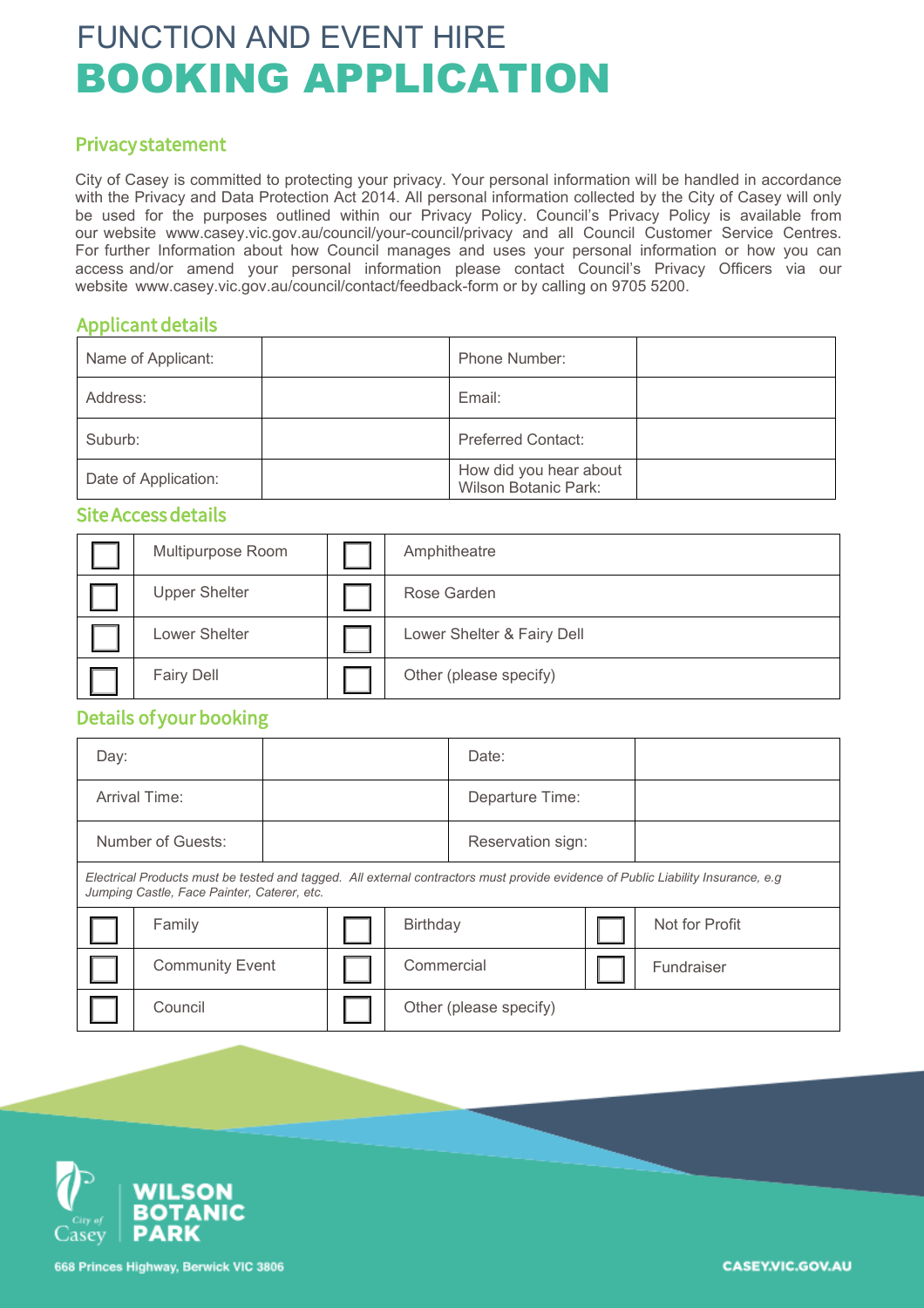# FUNCTION AND EVENT HIRE BOOKING APPLICATION

#### Privacy statement

City of Casey is committed to protecting your privacy. Your personal information will be handled in accordance with the Privacy and Data Protection Act 2014. All personal information collected by the City of Casey will only be used for the purposes outlined within our Privacy Policy. Council's Privacy Policy is available from our website www.casey.vic.gov.au/council/your-council/privacy and all Council Customer Service Centres. For further Information about how Council manages and uses your personal information or how you can access and/or amend your personal information please contact Council's Privacy Officers via our website www.casey.vic.gov.au/council/contact/feedback-form or by calling on 9705 5200.

#### Applicant details

| Name of Applicant:   | Phone Number:                                         |
|----------------------|-------------------------------------------------------|
| Address:             | Email:                                                |
| Suburb:              | <b>Preferred Contact:</b>                             |
| Date of Application: | How did you hear about<br><b>Wilson Botanic Park:</b> |

#### Site Access details

| Multipurpose Room    | Amphitheatre               |  |
|----------------------|----------------------------|--|
| <b>Upper Shelter</b> | Rose Garden                |  |
| Lower Shelter        | Lower Shelter & Fairy Dell |  |
| <b>Fairy Dell</b>    | Other (please specify)     |  |

### Details of your booking

| Day:                                                                                                                                                                             |                        |                 |  |                        | Date: |  |                |
|----------------------------------------------------------------------------------------------------------------------------------------------------------------------------------|------------------------|-----------------|--|------------------------|-------|--|----------------|
| Arrival Time:                                                                                                                                                                    |                        | Departure Time: |  |                        |       |  |                |
|                                                                                                                                                                                  | Number of Guests:      |                 |  | Reservation sign:      |       |  |                |
| Electrical Products must be tested and tagged. All external contractors must provide evidence of Public Liability Insurance, e.g.<br>Jumping Castle, Face Painter, Caterer, etc. |                        |                 |  |                        |       |  |                |
|                                                                                                                                                                                  | Family                 |                 |  | Birthday               |       |  | Not for Profit |
|                                                                                                                                                                                  | <b>Community Event</b> |                 |  | Commercial             |       |  | Fundraiser     |
|                                                                                                                                                                                  | Council                |                 |  | Other (please specify) |       |  |                |